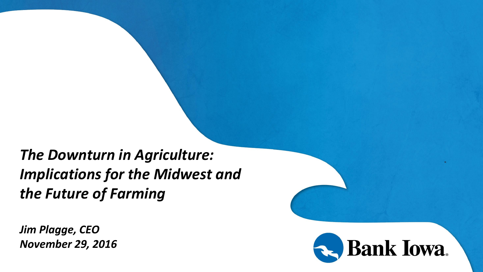*The Downturn in Agriculture: Implications for the Midwest and the Future of Farming*

*Jim Plagge, CEO November 29, 2016*

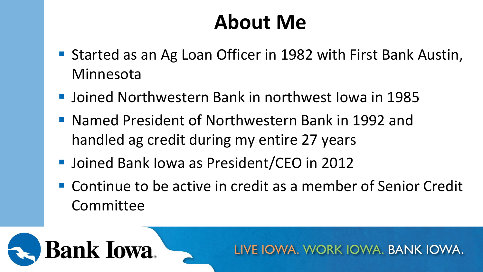### **About Me**

- Started as an Ag Loan Officer in 1982 with First Bank Austin, Minnesota
- Joined Northwestern Bank in northwest Iowa in 1985
- Named President of Northwestern Bank in 1992 and handled ag credit during my entire 27 years
- Joined Bank Iowa as President/CEO in 2012

**Bank Iowa** 

■ Continue to be active in credit as a member of Senior Credit Committee

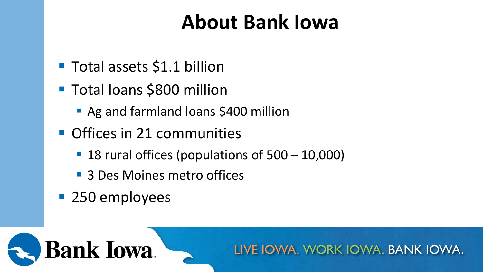## **About Bank Iowa**

- **Total assets \$1.1 billion**
- Total loans \$800 million
	- Ag and farmland loans \$400 million
- **Offices in 21 communities** 
	- 18 rural offices (populations of 500 10,000)
	- 3 Des Moines metro offices
- **250 employees**

**Bank Iowa** 

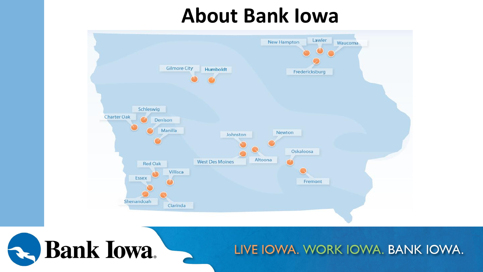### **About Bank Iowa**



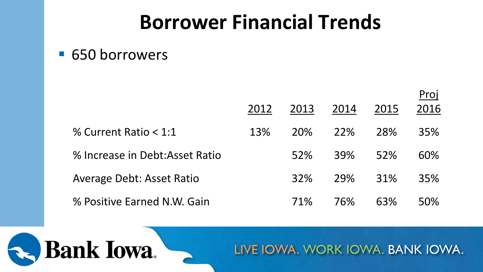### **Borrower Financial Trends**

#### ■ 650 borrowers

**Bank Iowa** 

|                                  |      |            |            |      | Proj |
|----------------------------------|------|------------|------------|------|------|
|                                  | 2012 | 2013       | 2014       | 2015 | 2016 |
| % Current Ratio $< 1:1$          | 13%  | <b>20%</b> | 22%        | 28%  | 35%  |
| % Increase in Debt:Asset Ratio   |      | 52%        | <b>39%</b> | 52%  | 60%  |
| <b>Average Debt: Asset Ratio</b> |      | <b>32%</b> | 79%        | 31%  | 35%  |
| % Positive Earned N.W. Gain      |      | 71%        | 76%        | 63%  | 50%  |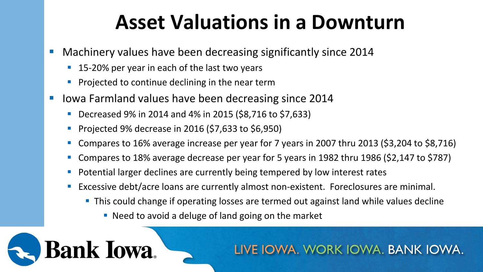### **Asset Valuations in a Downturn**

- Machinery values have been decreasing significantly since 2014
	- 15-20% per year in each of the last two years
	- Projected to continue declining in the near term
- Iowa Farmland values have been decreasing since 2014
	- Decreased 9% in 2014 and 4% in 2015 (\$8,716 to \$7,633)
	- **Projected 9% decrease in 2016 (\$7,633 to \$6,950)**

**Bank Iowa** 

- Compares to 16% average increase per year for 7 years in 2007 thru 2013 (\$3,204 to \$8,716)
- Compares to 18% average decrease per year for 5 years in 1982 thru 1986 (\$2,147 to \$787)
- **P** Potential larger declines are currently being tempered by low interest rates
- **Excessive debt/acre loans are currently almost non-existent. Foreclosures are minimal.** 
	- **This could change if operating losses are termed out against land while values decline** 
		- Need to avoid a deluge of land going on the market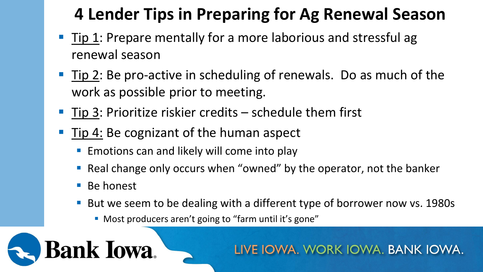### **4 Lender Tips in Preparing for Ag Renewal Season**

- Tip 1: Prepare mentally for a more laborious and stressful ag renewal season
- Tip 2: Be pro-active in scheduling of renewals. Do as much of the work as possible prior to meeting.
- $\blacksquare$  Tip 3: Prioritize riskier credits schedule them first
- Tip 4: Be cognizant of the human aspect
	- **Emotions can and likely will come into play**
	- Real change only occurs when "owned" by the operator, not the banker
	- Be honest
	- But we seem to be dealing with a different type of borrower now vs. 1980s
		- **Most producers aren't going to "farm until it's gone"**

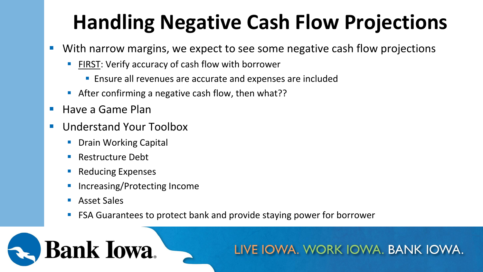# **Handling Negative Cash Flow Projections**

- With narrow margins, we expect to see some negative cash flow projections
	- FIRST: Verify accuracy of cash flow with borrower
		- **Ensure all revenues are accurate and expenses are included**
	- **After confirming a negative cash flow, then what??**
- Have a Game Plan
- Understand Your Toolbox
	- **Drain Working Capital**
	- Restructure Debt
	- **Reducing Expenses**
	- Increasing/Protecting Income
	- Asset Sales

**Bank Iowa** 

**FITT** FSA Guarantees to protect bank and provide staying power for borrower

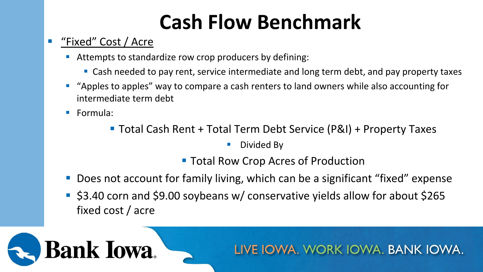# **Cash Flow Benchmark**

#### "Fixed" Cost / Acre

- Attempts to standardize row crop producers by defining:
	- **Cash needed to pay rent, service intermediate and long term debt, and pay property taxes**
- **T** "Apples to apples" way to compare a cash renters to land owners while also accounting for intermediate term debt
- Formula:
	- Total Cash Rent + Total Term Debt Service (P&I) + Property Taxes
		- **Divided By**
		- **Total Row Crop Acres of Production**
- Does not account for family living, which can be a significant "fixed" expense
- \$3.40 corn and \$9.00 soybeans w/ conservative yields allow for about \$265 fixed cost / acre

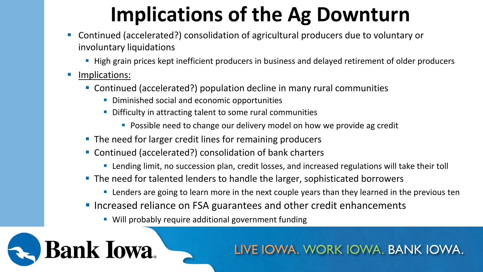# **Implications of the Ag Downturn**

- Continued (accelerated?) consolidation of agricultural producers due to voluntary or involuntary liquidations
	- **High grain prices kept inefficient producers in business and delayed retirement of older producers**
- **Implications:**

**Bank Iowa** 

- Continued (accelerated?) population decline in many rural communities
	- **Diminished social and economic opportunities**
	- **Difficulty in attracting talent to some rural communities** 
		- **Possible need to change our delivery model on how we provide ag credit**
- **The need for larger credit lines for remaining producers**
- Continued (accelerated?) consolidation of bank charters
	- **EXT** Lending limit, no succession plan, credit losses, and increased regulations will take their toll
- **The need for talented lenders to handle the larger, sophisticated borrowers** 
	- **EXT** Lenders are going to learn more in the next couple years than they learned in the previous ten
- **Increased reliance on FSA guarantees and other credit enhancements** 
	- Will probably require additional government funding